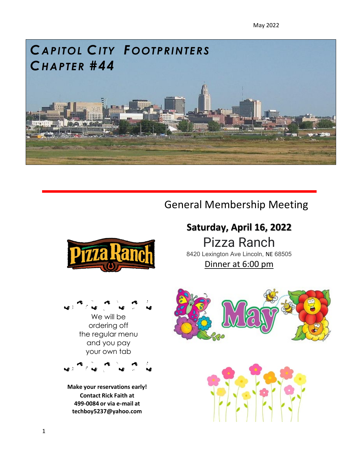May 2022



# General Membership Meeting





**Make your reservations early! Contact Rick Faith at 499-0084 or via e-mail a[t](mailto:techboy5237@yahoo.com) [techboy5237@yahoo.com](mailto:techboy5237@yahoo.com)**

## **Saturday, April 16, 2022**

Pizza Ranch 8420 Lexington Ave Lincoln, NE 68505

Dinner at 6:00 pm